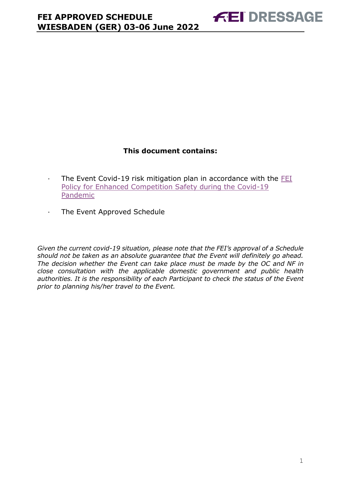# **This document contains:**

- <span id="page-0-0"></span>· The Event Covid-19 risk mitigation plan in accordance with the [FEI](https://inside.fei.org/fei/covid-19/return-to-play)  [Policy for Enhanced Competition Safety during the Covid-19](https://inside.fei.org/fei/covid-19/return-to-play)  [Pandemic](https://inside.fei.org/fei/covid-19/return-to-play)
- · The Event Approved Schedule

*Given the current covid-19 situation, please note that the FEI's approval of a Schedule should not be taken as an absolute guarantee that the Event will definitely go ahead. The decision whether the Event can take place must be made by the OC and NF in close consultation with the applicable domestic government and public health authorities. It is the responsibility of each Participant to check the status of the Event prior to planning his/her travel to the Event.*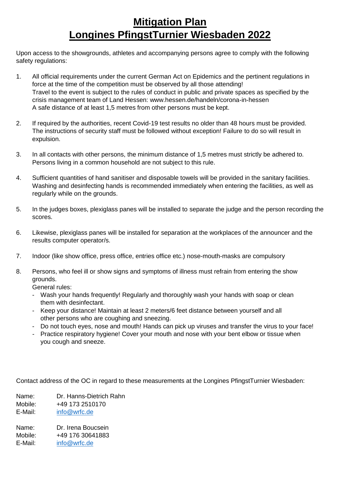# **Mitigation Plan Longines PfingstTurnier Wiesbaden 2022**

Upon access to the showgrounds, athletes and accompanying persons agree to comply with the following safety regulations:

- 1. All official requirements under the current German Act on Epidemics and the pertinent regulations in force at the time of the competition must be observed by all those attending! Travel to the event is subject to the rules of conduct in public and private spaces as specified by the crisis management team of Land Hessen: www.hessen.de/handeln/corona-in-hessen A safe distance of at least 1,5 metres from other persons must be kept.
- 2. If required by the authorities, recent Covid-19 test results no older than 48 hours must be provided. The instructions of security staff must be followed without exception! Failure to do so will result in expulsion.
- 3. In all contacts with other persons, the minimum distance of 1,5 metres must strictly be adhered to. Persons living in a common household are not subject to this rule.
- 4. Sufficient quantities of hand sanitiser and disposable towels will be provided in the sanitary facilities. Washing and desinfecting hands is recommended immediately when entering the facilities, as well as regularly while on the grounds.
- 5. In the judges boxes, plexiglass panes will be installed to separate the judge and the person recording the scores.
- 6. Likewise, plexiglass panes will be installed for separation at the workplaces of the announcer and the results computer operator/s.
- 7. Indoor (like show office, press office, entries office etc.) nose-mouth-masks are compulsory
- 8. Persons, who feel ill or show signs and symptoms of illness must refrain from entering the show grounds.

General rules:

- Wash your hands frequently! Regularly and thoroughly wash your hands with soap or clean them with desinfectant.
- Keep your distance! Maintain at least 2 meters/6 feet distance between yourself and all other persons who are coughing and sneezing.
- Do not touch eyes, nose and mouth! Hands can pick up viruses and transfer the virus to your face!
- Practice respiratory hygiene! Cover your mouth and nose with your bent elbow or tissue when you cough and sneeze.

Contact address of the OC in regard to these measurements at the Longines PfingstTurnier Wiesbaden:

| Name:   | Dr. Hanns-Dietrich Rahn |
|---------|-------------------------|
| Mobile: | +49 173 2510170         |
| E-Mail: | info@wrfc.de            |
| Name:   | Dr. Irena Boucsein      |
| Mobile: | +49 176 30641883        |
| E-Mail: | info@wrfc.de            |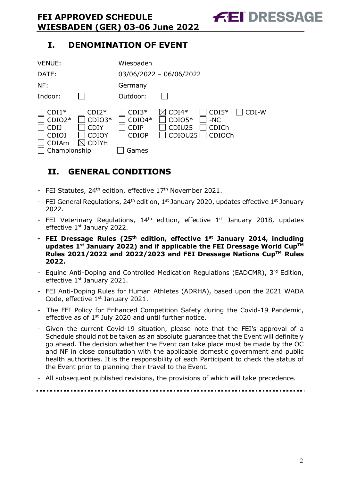# **I. DENOMINATION OF EVENT**

| <b>VENUE:</b>                                                               |                                                                    | Wiesbaden                                                   |                                          |                                     |       |
|-----------------------------------------------------------------------------|--------------------------------------------------------------------|-------------------------------------------------------------|------------------------------------------|-------------------------------------|-------|
| DATE:                                                                       |                                                                    |                                                             | $03/06/2022 - 06/06/2022$                |                                     |       |
| NF:                                                                         |                                                                    | Germany                                                     |                                          |                                     |       |
| Indoor:                                                                     |                                                                    | Outdoor:                                                    |                                          |                                     |       |
| $CDI1*$<br>$CDIO2*$<br><b>CDIJ</b><br>CDIOJ<br><b>CDIAm</b><br>Championship | $CDI2*$<br>$CDIO3*$<br><b>CDIY</b><br><b>CDIOY</b><br><b>CDIYH</b> | $CDI3*$<br>$CDIO4*$<br><b>CDIP</b><br><b>CDIOP</b><br>Games | $CDI4*$<br>$CDIO5*$<br>CDIU25<br>CDIOU25 | $CDI5*$<br>$-NC$<br>CDICh<br>CDIOCh | CDI-W |

# <span id="page-2-0"></span>**II. GENERAL CONDITIONS**

- FEI Statutes,  $24<sup>th</sup>$  edition, effective  $17<sup>th</sup>$  November 2021.
- FEI General Regulations, 24<sup>th</sup> edition, 1<sup>st</sup> January 2020, updates effective 1<sup>st</sup> January 2022.
- FEI Veterinary Regulations,  $14<sup>th</sup>$  edition, effective  $1<sup>st</sup>$  January 2018, updates effective 1<sup>st</sup> January 2022.
- **- FEI Dressage Rules (25 th edition, effective 1st January 2014, including updates 1 st January 2022) and if applicable the FEI Dressage World CupTM Rules 2021/2022 and 2022/2023 and FEI Dressage Nations CupTM Rules 2022.**
- Equine Anti-Doping and Controlled Medication Regulations (EADCMR), 3rd Edition, effective 1<sup>st</sup> January 2021.
- FEI Anti-Doping Rules for Human Athletes (ADRHA), based upon the 2021 WADA Code, effective 1<sup>st</sup> January 2021.
- The FEI Policy for Enhanced Competition Safety during the Covid-19 Pandemic, effective as of  $1<sup>st</sup>$  July 2020 and until further notice.
- Given the current Covid-19 situation, please note that the FEI's approval of a Schedule should not be taken as an absolute guarantee that the Event will definitely go ahead. The decision whether the Event can take place must be made by the OC and NF in close consultation with the applicable domestic government and public health authorities. It is the responsibility of each Participant to check the status of the Event prior to planning their travel to the Event.
- All subsequent published revisions, the provisions of which will take precedence.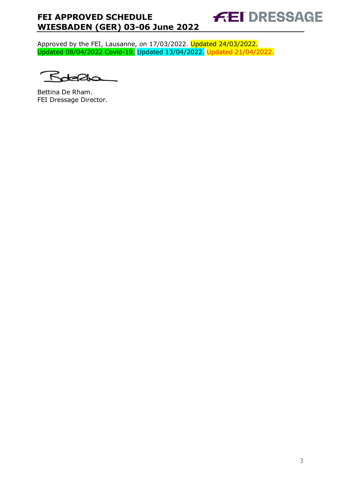**FEI DRESSAGE** 

Approved by the FEI, Lausanne, on 17/03/2022. Updated 24/03/2022. Updated 08/04/2022 Covid-19. Updated 13/04/2022. Updated 21/04/2022.

 $\lt$ ~

Bettina De Rham. FEI Dressage Director.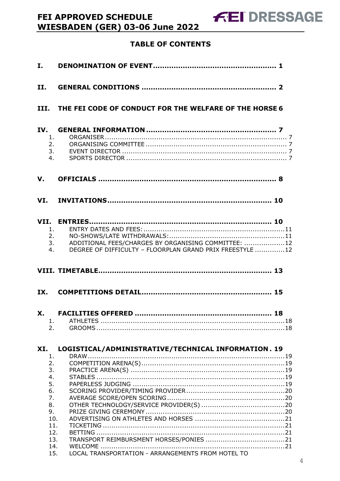# **TABLE OF CONTENTS**

**FEI APPROVED SCHEDULE** 

**WIESBADEN (GER) 03-06 June 2022** 

| II.                                                                            |                                                                                                                       |
|--------------------------------------------------------------------------------|-----------------------------------------------------------------------------------------------------------------------|
|                                                                                | III. THE FEI CODE OF CONDUCT FOR THE WELFARE OF THE HORSE 6                                                           |
| IV.<br>1.<br>2.<br>3.<br>4.                                                    |                                                                                                                       |
| V.                                                                             |                                                                                                                       |
|                                                                                |                                                                                                                       |
| 1.<br>2.<br>4.                                                                 | ADDITIONAL FEES/CHARGES BY ORGANISING COMMITTEE: 12<br>3.<br>DEGREE OF DIFFICULTY - FLOORPLAN GRAND PRIX FREESTYLE 12 |
|                                                                                |                                                                                                                       |
|                                                                                |                                                                                                                       |
| X.<br>1.<br>2.                                                                 |                                                                                                                       |
| XI.<br>1.<br>2.<br>3.<br>4.<br>5.<br>6.<br>7.<br>8.<br>9.<br>10.<br>11.<br>12. | LOGISTICAL/ADMINISTRATIVE/TECHNICAL INFORMATION. 19                                                                   |
| 13.<br>14.<br>15.                                                              | LOCAL TRANSPORTATION - ARRANGEMENTS FROM HOTEL TO                                                                     |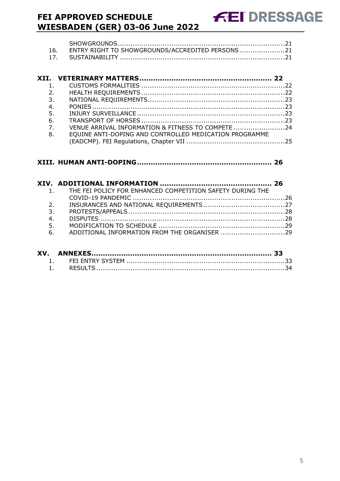| 16. ENTRY RIGHT TO SHOWGROUNDS/ACCREDITED PERSONS 21 |
|------------------------------------------------------|
|                                                      |

| 1.               |                                                        |  |
|------------------|--------------------------------------------------------|--|
| 2.               |                                                        |  |
| 3 <sub>1</sub>   |                                                        |  |
| 4.               |                                                        |  |
| 5.               |                                                        |  |
| 6.               |                                                        |  |
| $\overline{7}$ . | VENUE ARRIVAL INFORMATION & FITNESS TO COMPETE 24      |  |
| 8.               | EQUINE ANTI-DOPING AND CONTROLLED MEDICATION PROGRAMME |  |
|                  |                                                        |  |

# **XIII. [HUMAN ANTI-DOPING...........................................................](#page-26-0) 26**

|    | 1. THE FEI POLICY FOR ENHANCED COMPETITION SAFETY DURING THE |  |
|----|--------------------------------------------------------------|--|
|    |                                                              |  |
| 2. |                                                              |  |
| 3. |                                                              |  |
| 4. |                                                              |  |
| 5. |                                                              |  |
| 6. | ADDITIONAL INFORMATION FROM THE ORGANISER 29                 |  |
|    |                                                              |  |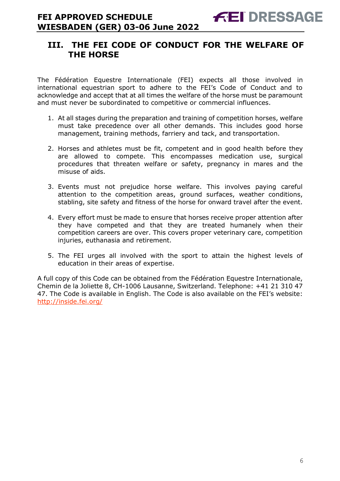# <span id="page-6-0"></span>**III. THE FEI CODE OF CONDUCT FOR THE WELFARE OF THE HORSE**

The Fédération Equestre Internationale (FEI) expects all those involved in international equestrian sport to adhere to the FEI's Code of Conduct and to acknowledge and accept that at all times the welfare of the horse must be paramount and must never be subordinated to competitive or commercial influences.

- 1. At all stages during the preparation and training of competition horses, welfare must take precedence over all other demands. This includes good horse management, training methods, farriery and tack, and transportation.
- 2. Horses and athletes must be fit, competent and in good health before they are allowed to compete. This encompasses medication use, surgical procedures that threaten welfare or safety, pregnancy in mares and the misuse of aids.
- 3. Events must not prejudice horse welfare. This involves paying careful attention to the competition areas, ground surfaces, weather conditions, stabling, site safety and fitness of the horse for onward travel after the event.
- 4. Every effort must be made to ensure that horses receive proper attention after they have competed and that they are treated humanely when their competition careers are over. This covers proper veterinary care, competition injuries, euthanasia and retirement.
- 5. The FEI urges all involved with the sport to attain the highest levels of education in their areas of expertise.

A full copy of this Code can be obtained from the Fédération Equestre Internationale, Chemin de la Joliette 8, CH-1006 Lausanne, Switzerland. Telephone: +41 21 310 47 47. The Code is available in English. The Code is also available on the FEI's website: <http://inside.fei.org/>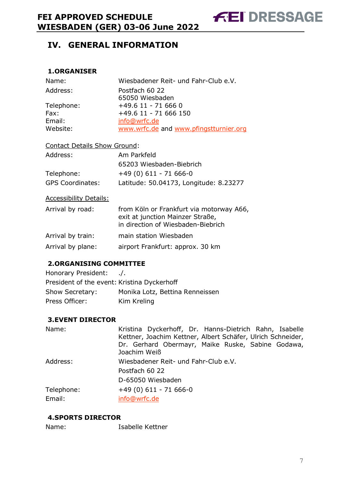#### <span id="page-7-1"></span><span id="page-7-0"></span>**1.ORGANISER**

| Name:      | Wiesbadener Reit- und Fahr-Club e.V.   |
|------------|----------------------------------------|
| Address:   | Postfach 60 22<br>65050 Wiesbaden      |
| Telephone: | +49.6 11 - 71 666 0                    |
| Fax:       | +49.6 11 - 71 666 150                  |
| Email:     | info@wrfc.de                           |
| Website:   | www.wrfc.de and www.pfingstturnier.org |

#### Contact Details Show Ground:

| Address:                | Am Parkfeld                            |
|-------------------------|----------------------------------------|
|                         | 65203 Wiesbaden-Biebrich               |
| Telephone:              | $+49(0)611 - 71666-0$                  |
| <b>GPS Coordinates:</b> | Latitude: 50.04173, Longitude: 8.23277 |

Accessibility Details:

| Arrival by road:  | from Köln or Frankfurt via motorway A66,<br>exit at junction Mainzer Straße,<br>in direction of Wiesbaden-Biebrich |
|-------------------|--------------------------------------------------------------------------------------------------------------------|
| Arrival by train: | main station Wiesbaden                                                                                             |
| Arrival by plane: | airport Frankfurt: approx. 30 km                                                                                   |

# <span id="page-7-2"></span>**2.ORGANISING COMMITTEE**

| Honorary President:                         | $\cdot$ .                       |
|---------------------------------------------|---------------------------------|
| President of the event: Kristina Dyckerhoff |                                 |
| Show Secretary:                             | Monika Lotz, Bettina Renneissen |
| Press Officer:                              | Kim Kreling                     |

#### <span id="page-7-3"></span>**3.EVENT DIRECTOR**

| Name:      | Kristina Dyckerhoff, Dr. Hanns-Dietrich Rahn, Isabelle<br>Kettner, Joachim Kettner, Albert Schäfer, Ulrich Schneider,<br>Dr. Gerhard Obermayr, Maike Ruske, Sabine Godawa,<br>Joachim Weiß |
|------------|--------------------------------------------------------------------------------------------------------------------------------------------------------------------------------------------|
| Address:   | Wiesbadener Reit- und Fahr-Club e.V.<br>Postfach 60 22                                                                                                                                     |
|            | D-65050 Wiesbaden                                                                                                                                                                          |
| Telephone: | $+49(0)611 - 71666-0$                                                                                                                                                                      |
| Email:     | info@wrfc.de                                                                                                                                                                               |

# <span id="page-7-4"></span>**4.SPORTS DIRECTOR**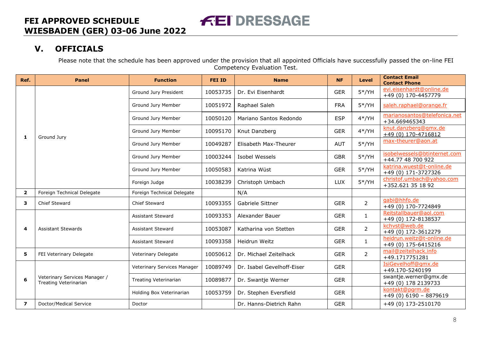# **V. OFFICIALS**

Please note that the schedule has been approved under the provision that all appointed Officials have successfully passed the on-line FEI Competency Evaluation Test.

<span id="page-8-0"></span>

| Ref.                    | <b>Panel</b>                                           | <b>Function</b>             | <b>FEI ID</b> | <b>Name</b>                | <b>NF</b>  | <b>Level</b>   | <b>Contact Email</b><br><b>Contact Phone</b>      |
|-------------------------|--------------------------------------------------------|-----------------------------|---------------|----------------------------|------------|----------------|---------------------------------------------------|
|                         |                                                        | Ground Jury President       | 10053735      | Dr. Evi Eisenhardt         | <b>GER</b> | $5*/YH$        | evi.eisenhardt@online.de<br>+49 (0) 170-4457779   |
|                         |                                                        | Ground Jury Member          | 10051972      | Raphael Saleh              | <b>FRA</b> | $5*/YH$        | saleh.raphael@orange.fr                           |
|                         |                                                        | Ground Jury Member          | 10050120      | Mariano Santos Redondo     | <b>ESP</b> | $4*/YH$        | marianosantos@telefonica.net<br>+34.669465343     |
| 1                       | Ground Jury                                            | Ground Jury Member          | 10095170      | Knut Danzberg              | <b>GER</b> | $4*/YH$        | knut.danzberg@gmx.de<br>$+49(0)$ 170-4716812      |
|                         |                                                        | Ground Jury Member          | 10049287      | Elisabeth Max-Theurer      | <b>AUT</b> | $5*/YH$        | max-theurer@aon.at                                |
|                         |                                                        | Ground Jury Member          | 10003244      | Isobel Wessels             | <b>GBR</b> | $5*/YH$        | isobelwessels@btinternet.com<br>+44.77 48 700 922 |
|                         |                                                        | Ground Jury Member          | 10050583      | Katrina Wüst               | <b>GER</b> | $5*/YH$        | katrina.wuest@t-online.de<br>+49 (0) 171-3727326  |
|                         |                                                        | Foreign Judge               | 10038239      | Christoph Umbach           | <b>LUX</b> | $5*/YH$        | christof.umbach@yahoo.com<br>+352.621 35 18 92    |
| $\mathbf{2}$            | Foreign Technical Delegate                             | Foreign Technical Delegate  |               | N/A                        |            |                |                                                   |
| 3                       | Chief Steward                                          | Chief Steward               | 10093355      | Gabriele Sittner           | <b>GER</b> | $\overline{2}$ | gabi@hhfo.de<br>+49 (0) 170-7724849               |
|                         |                                                        | <b>Assistant Steward</b>    | 10093353      | Alexander Bauer            | <b>GER</b> | $\mathbf{1}$   | Reitstallbauer@aol.com<br>+49 (0) 172-8138537     |
| 4                       | <b>Assistant Stewards</b>                              | <b>Assistant Steward</b>    | 10053087      | Katharina von Stetten      | <b>GER</b> | $\overline{2}$ | kchvst@web.de<br>+49 (0) 172-3612279              |
|                         |                                                        | Assistant Steward           | 10093358      | Heidrun Weitz              | <b>GER</b> | $\mathbf{1}$   | heidrun.weitz@t-online.de<br>+49 (0) 175-6415216  |
| 5                       | FEI Veterinary Delegate                                | Veterinary Delegate         | 10050612      | Dr. Michael Zeitelhack     | <b>GER</b> | $\overline{2}$ | mail@zeitelhack.info<br>+49.1717751281            |
|                         |                                                        | Veterinary Services Manager | 10089749      | Dr. Isabel Gevelhoff-Eiser | <b>GER</b> |                | IsiGevelhoff@qmx.de<br>+49.170-5240199            |
| 6                       | Veterinary Services Manager /<br>Treating Veterinarian | Treating Veterinarian       | 10089877      | Dr. Swantje Werner         | <b>GER</b> |                | swantje.werner@gmx.de<br>+49 (0) 178 2139733      |
|                         |                                                        | Holding Box Veterinarian    | 10053759      | Dr. Stephen Eversfield     | <b>GER</b> |                | kontakt@pgrm.de<br>$+49(0)6190 - 8879619$         |
| $\overline{\mathbf{z}}$ | Doctor/Medical Service                                 | Doctor                      |               | Dr. Hanns-Dietrich Rahn    | <b>GER</b> |                | +49 (0) 173-2510170                               |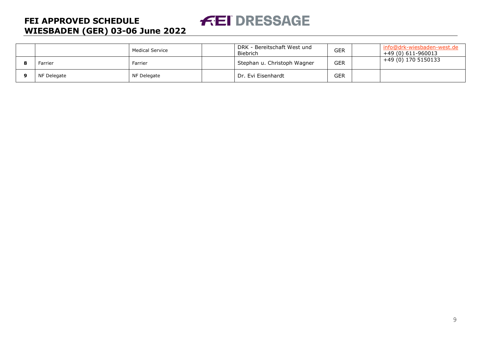## Medical Service **DRK - Bereitschaft West und Biebrich** GER info@drk-wiesbaden-west.de<br>+49 (0) 611-960013<br>+49 (0) 170 5150133 +49 (0) 611-960013 **8** Farrier **8** Farrier **Farrier** Farrier **Stephan u. Christoph Wagner** GER **9** NF Delegate NF Delegate NF Delegate NF Delegate NF Delegate NF Delegate NF Delegate NF Delegate NF Delegate NF Delegate NF Delegate NF Delegate NF Delegate NF Delegate NF Delegate NF Delegate NF Delegate NF Delegate NF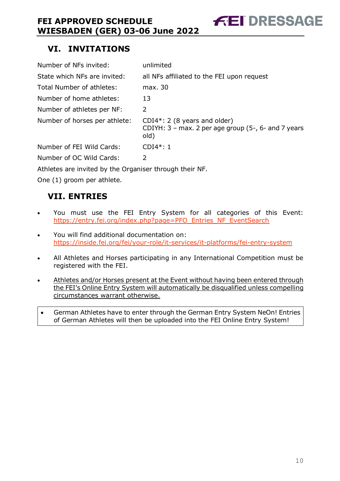# <span id="page-10-0"></span>**VI. INVITATIONS**

| Number of NFs invited:        | unlimited                                                                                       |
|-------------------------------|-------------------------------------------------------------------------------------------------|
| State which NFs are invited:  | all NFs affiliated to the FEI upon request                                                      |
| Total Number of athletes:     | max. 30                                                                                         |
| Number of home athletes:      | 13                                                                                              |
| Number of athletes per NF:    | 2                                                                                               |
| Number of horses per athlete: | $CDI4*: 2 (8 years and older)$<br>CDIYH: $3$ – max. 2 per age group (5-, 6- and 7 years<br>old) |
| Number of FEI Wild Cards:     | $CDI4*:1$                                                                                       |
| Number of OC Wild Cards:      | 2                                                                                               |

**FEI DRESSAGE** 

Athletes are invited by the Organiser through their NF.

One (1) groom per athlete.

# <span id="page-10-1"></span>**VII. ENTRIES**

- You must use the FEI Entry System for all categories of this Event: [https://entry.fei.org/index.php?page=PFO\\_Entries\\_NF\\_EventSearch](https://entry.fei.org/index.php?page=PFO_Entries_NF_EventSearch)
- You will find additional documentation on: <https://inside.fei.org/fei/your-role/it-services/it-platforms/fei-entry-system>
- All Athletes and Horses participating in any International Competition must be registered with the FEI.
- Athletes and/or Horses present at the Event without having been entered through the FEI's Online Entry System will automatically be disqualified unless compelling circumstances warrant otherwise.
- German Athletes have to enter through the German Entry System NeOn! Entries of German Athletes will then be uploaded into the FEI Online Entry System!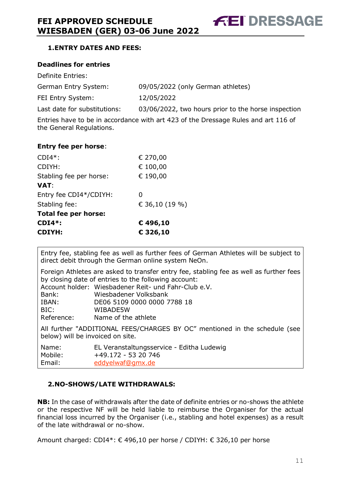**FEI DRESSAGE** 

# <span id="page-11-0"></span>**1.ENTRY DATES AND FEES:**

#### **Deadlines for entries**

| Definite Entries:            |                                                     |
|------------------------------|-----------------------------------------------------|
| German Entry System:         | 09/05/2022 (only German athletes)                   |
| FEI Entry System:            | 12/05/2022                                          |
| Last date for substitutions: | 03/06/2022, two hours prior to the horse inspection |

Entries have to be in accordance with art 423 of the Dressage Rules and art 116 of the General Regulations.

#### **Entry fee per horse**:

| <b>CDIYH:</b>               | € 326,10       |
|-----------------------------|----------------|
| $CDI4*$ :                   | € 496,10       |
| <b>Total fee per horse:</b> |                |
| Stabling fee:               | € 36,10 (19 %) |
| Entry fee CDI4*/CDIYH:      | 0              |
| <b>VAT:</b>                 |                |
| Stabling fee per horse:     | € 190,00       |
| CDIYH:                      | € 100,00       |
| $CDI4*$ :                   | € 270,00       |

Entry fee, stabling fee as well as further fees of German Athletes will be subject to direct debit through the German online system NeOn.

Foreign Athletes are asked to transfer entry fee, stabling fee as well as further fees by closing date of entries to the following account: Account holder: Wiesbadener Reit- und Fahr-Club e.V. Bank: Wiesbadener Volksbank IBAN: DE06 5109 0000 0000 7788 18 BIC: WIBADE5W Reference: Name of the athlete

All further "ADDITIONAL FEES/CHARGES BY OC" mentioned in the schedule (see below) will be invoiced on site.

| Name:   | EL Veranstaltungsservice - Editha Ludewig |
|---------|-------------------------------------------|
| Mobile: | +49.172 - 53 20 746                       |
| Email:  | eddyelwaf@gmx.de                          |

# <span id="page-11-1"></span>**2.NO-SHOWS/LATE WITHDRAWALS:**

**NB:** In the case of withdrawals after the date of definite entries or no-shows the athlete or the respective NF will be held liable to reimburse the Organiser for the actual financial loss incurred by the Organiser (i.e., stabling and hotel expenses) as a result of the late withdrawal or no-show.

Amount charged: CDI4\*: € 496,10 per horse / CDIYH: € 326,10 per horse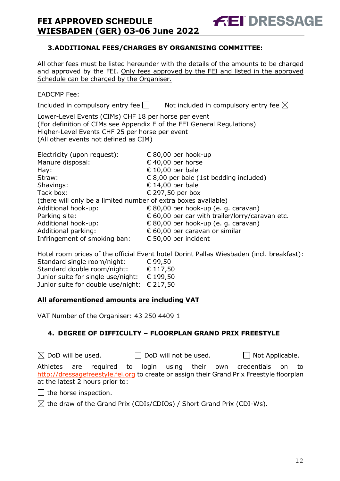# <span id="page-12-0"></span>**3.ADDITIONAL FEES/CHARGES BY ORGANISING COMMITTEE:**

All other fees must be listed hereunder with the details of the amounts to be charged and approved by the FEI. Only fees approved by the FEI and listed in the approved Schedule can be charged by the Organiser.

**FEI DRESSAGE** 

# EADCMP Fee:

Included in compulsory entry fee  $\Box$  Not included in compulsory entry fee  $\boxtimes$ 

Lower-Level Events (CIMs) CHF 18 per horse per event (For definition of CIMs see Appendix E of the FEI General Regulations) Higher-Level Events CHF 25 per horse per event (All other events not defined as CIM)

| Electricity (upon request):                                    | € 80,00 per hook-up                             |
|----------------------------------------------------------------|-------------------------------------------------|
| Manure disposal:                                               | € 40,00 per horse                               |
| Hay:                                                           | € 10,00 per bale                                |
| Straw:                                                         | € 8,00 per bale (1st bedding included)          |
| Shavings:                                                      | € 14,00 per bale                                |
| Tack box:                                                      | € 297,50 per box                                |
| (there will only be a limited number of extra boxes available) |                                                 |
| Additional hook-up:                                            | € 80,00 per hook-up (e. g. caravan)             |
| Parking site:                                                  | € 60,00 per car with trailer/lorry/caravan etc. |
| Additional hook-up:                                            | € 80,00 per hook-up (e. g. caravan)             |
| Additional parking:                                            | € 60,00 per caravan or similar                  |
| Infringement of smoking ban:                                   | € 50,00 per incident                            |

Hotel room prices of the official Event hotel Dorint Pallas Wiesbaden (incl. breakfast): Standard single room/night: € 99,50 Standard double room/night: € 117,50 Junior suite for single use/night: € 199,50 Junior suite for double use/night: € 217,50

# **All aforementioned amounts are including VAT**

VAT Number of the Organiser: 43 250 4409 1

# <span id="page-12-1"></span>**4. DEGREE OF DIFFICULTY – FLOORPLAN GRAND PRIX FREESTYLE**

| $\boxtimes$ DoD will be used. |  |                                 | $\Box$ DoD will not be used. |  |  |  |  | $\Box$ Not Applicable.                                                                    |  |  |
|-------------------------------|--|---------------------------------|------------------------------|--|--|--|--|-------------------------------------------------------------------------------------------|--|--|
|                               |  |                                 |                              |  |  |  |  | Athletes are required to login using their own credentials on to                          |  |  |
|                               |  |                                 |                              |  |  |  |  | http://dressagefreestyle.fei.org to create or assign their Grand Prix Freestyle floorplan |  |  |
|                               |  | at the latest 2 hours prior to: |                              |  |  |  |  |                                                                                           |  |  |

 $\Box$  the horse inspection.

 $\boxtimes$  the draw of the Grand Prix (CDIs/CDIOs) / Short Grand Prix (CDI-Ws).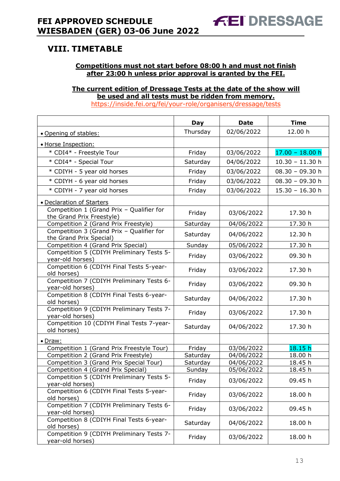# <span id="page-13-0"></span>**VIII. TIMETABLE**

#### **Competitions must not start before 08:00 h and must not finish after 23:00 h unless prior approval is granted by the FEI.**

#### **The current edition of Dressage Tests at the date of the show will be used and all tests must be ridden from memory.** <https://inside.fei.org/fei/your-role/organisers/dressage/tests>

|                                                                        | Day      | <b>Date</b> | <b>Time</b>       |
|------------------------------------------------------------------------|----------|-------------|-------------------|
| · Opening of stables:                                                  | Thursday | 02/06/2022  | 12.00 h           |
| · Horse Inspection:                                                    |          |             |                   |
| * CDI4* - Freestyle Tour                                               | Friday   | 03/06/2022  | $17.00 - 18.00 h$ |
| * CDI4* - Special Tour                                                 | Saturday | 04/06/2022  | $10.30 - 11.30$ h |
| * CDIYH - 5 year old horses                                            | Friday   | 03/06/2022  | $08.30 - 09.30 h$ |
| * CDIYH - 6 year old horses                                            | Friday   | 03/06/2022  | $08.30 - 09.30 h$ |
| * CDIYH - 7 year old horses                                            | Friday   | 03/06/2022  | $15.30 - 16.30$ h |
| · Declaration of Starters                                              |          |             |                   |
| Competition 1 (Grand Prix - Qualifier for<br>the Grand Prix Freestyle) | Friday   | 03/06/2022  | 17.30 h           |
| Competition 2 (Grand Prix Freestyle)                                   | Saturday | 04/06/2022  | 17.30 h           |
| Competition 3 (Grand Prix - Qualifier for<br>the Grand Prix Special)   | Saturday | 04/06/2022  | 12.30 h           |
| Competition 4 (Grand Prix Special)                                     | Sunday   | 05/06/2022  | 17.30 h           |
| Competition 5 (CDIYH Preliminary Tests 5-<br>year-old horses)          | Friday   | 03/06/2022  | 09.30 h           |
| Competition 6 (CDIYH Final Tests 5-year-<br>old horses)                | Friday   | 03/06/2022  | 17.30 h           |
| Competition 7 (CDIYH Preliminary Tests 6-<br>year-old horses)          | Friday   | 03/06/2022  | 09.30 h           |
| Competition 8 (CDIYH Final Tests 6-year-<br>old horses)                | Saturday | 04/06/2022  | 17.30 h           |
| Competition 9 (CDIYH Preliminary Tests 7-<br>year-old horses)          | Friday   | 03/06/2022  | 17.30 h           |
| Competition 10 (CDIYH Final Tests 7-year-<br>old horses)               | Saturday | 04/06/2022  | 17.30 h           |
| • Draw:                                                                |          |             |                   |
| Competition 1 (Grand Prix Freestyle Tour)                              | Friday   | 03/06/2022  | 18.15h            |
| Competition 2 (Grand Prix Freestyle)                                   | Saturday | 04/06/2022  | 18.00 h           |
| Competition 3 (Grand Prix Special Tour)                                | Saturday | 04/06/2022  | 18.45 h           |
| Competition 4 (Grand Prix Special)                                     | Sunday   | 05/06/2022  | 18.45 h           |
| Competition 5 (CDIYH Preliminary Tests 5-<br>year-old horses)          | Friday   | 03/06/2022  | 09.45 h           |
| Competition 6 (CDIYH Final Tests 5-year-<br>old horses)                | Friday   | 03/06/2022  | 18.00 h           |
| Competition 7 (CDIYH Preliminary Tests 6-<br>year-old horses)          | Friday   | 03/06/2022  | 09.45 h           |
| Competition 8 (CDIYH Final Tests 6-year-<br>old horses)                | Saturday | 04/06/2022  | 18.00 h           |
| Competition 9 (CDIYH Preliminary Tests 7-<br>year-old horses)          | Friday   | 03/06/2022  | 18.00 h           |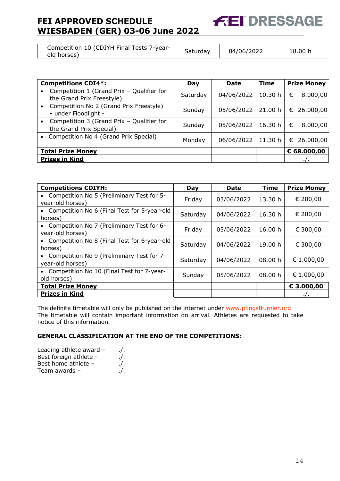| Competition 10 (CDIYH Final Tests 7-year-<br>old horses) | Saturday | 04/06/2022 | 18.00 h |
|----------------------------------------------------------|----------|------------|---------|
|----------------------------------------------------------|----------|------------|---------|

**FEI DRESSAGE** 

| <b>Competitions CDI4*:</b>                                                   | Day      | Date       | <b>Time</b> | <b>Prize Money</b> |
|------------------------------------------------------------------------------|----------|------------|-------------|--------------------|
| Competition 1 (Grand Prix - Qualifier for<br>the Grand Prix Freestyle)       | Saturday | 04/06/2022 | 10.30 h     | 8.000,00<br>€      |
| Competition No 2 (Grand Prix Freestyle)<br>$\bullet$<br>- under Floodlight - | Sunday   | 05/06/2022 | 21.00 h     | € 26.000,00        |
| Competition 3 (Grand Prix - Qualifier for<br>the Grand Prix Special)         | Sunday   | 05/06/2022 | 16.30 h     | 8.000,00<br>€      |
| Competition No 4 (Grand Prix Special)                                        | Monday   | 06/06/2022 | 11.30h      | € 26.000,00        |
| <b>Total Prize Money</b>                                                     |          |            |             | € 68.000,00        |
| <b>Prizes in Kind</b>                                                        |          |            |             |                    |

| <b>Competitions CDIYH:</b>                                                 | Day      | <b>Date</b> | <b>Time</b> | <b>Prize Money</b> |
|----------------------------------------------------------------------------|----------|-------------|-------------|--------------------|
| Competition No 5 (Preliminary Test for 5-<br>$\bullet$<br>year-old horses) | Friday   | 03/06/2022  | 13.30 h     | € 200,00           |
| • Competition No 6 (Final Test for 5-year-old<br>horses)                   | Saturday | 04/06/2022  | 16.30 h     | € 200,00           |
| • Competition No 7 (Preliminary Test for 6-<br>year-old horses)            | Friday   | 03/06/2022  | 16.00 h     | € 300,00           |
| • Competition No 8 (Final Test for 6-year-old<br>horses)                   | Saturday | 04/06/2022  | 19.00 h     | € 300,00           |
| • Competition No 9 (Preliminary Test for 7-<br>year-old horses)            | Saturday | 04/06/2022  | 08.00 h     | € 1.000,00         |
| Competition No 10 (Final Test for 7-year-<br>$\bullet$<br>old horses)      | Sunday   | 05/06/2022  | 08.00 h     | € 1.000,00         |
| <b>Total Prize Money</b>                                                   |          |             |             | € 3.000,00         |
| <b>Prizes in Kind</b>                                                      |          |             |             | $\cdot$            |

The definite timetable will only be published on the internet under www.pfingstturnier.org The timetable will contain important information on arrival. Athletes are requested to take notice of this information.

#### **GENERAL CLASSIFICATION AT THE END OF THE COMPETITIONS:**

| Leading athlete award - | $\cdot$ /. |
|-------------------------|------------|
| Best foreign athlete -  | $\cdot$ /. |
| Best home athlete -     | $\cdot$ /. |
| Team awards -           | $\cdot$ /. |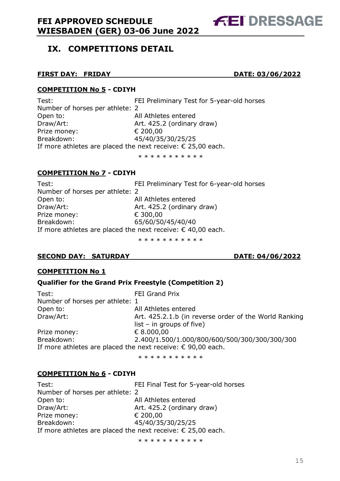# <span id="page-15-0"></span>**IX. COMPETITIONS DETAIL**

#### **FIRST DAY: FRIDAY DATE: 03/06/2022**

**FEI DRESSAGE** 

#### **COMPETITION No 5 - CDIYH**

Test: FEI Preliminary Test for 5-year-old horses Number of horses per athlete: 2 Open to: All Athletes entered Draw/Art: **Art. 425.2 (ordinary draw)** Prize money: € 200,00 Breakdown: 45/40/35/30/25/25 If more athletes are placed the next receive:  $\epsilon$  25,00 each.

\* \* \* \* \* \* \* \* \* \*

#### **COMPETITION No 7 - CDIYH**

Test: FEI Preliminary Test for 6-year-old horses Number of horses per athlete: 2 Open to: All Athletes entered Draw/Art: **Art. 425.2 (ordinary draw)** Prize money: € 300,00 Breakdown: 65/60/50/45/40/40 If more athletes are placed the next receive:  $\epsilon$  40,00 each.

\* \* \* \* \* \* \* \* \* \*

#### **SECOND DAY: SATURDAY DATE: 04/06/2022**

#### **COMPETITION No 1**

#### **Qualifier for the Grand Prix Freestyle (Competition 2)**

| Test:                                                                | FEI Grand Prix                                        |
|----------------------------------------------------------------------|-------------------------------------------------------|
| Number of horses per athlete: 1                                      |                                                       |
| Open to:                                                             | All Athletes entered                                  |
| Draw/Art:                                                            | Art. 425.2.1.b (in reverse order of the World Ranking |
|                                                                      | $list - in groups of five)$                           |
| Prize money:                                                         | € 8.000,00                                            |
| Breakdown:                                                           | 2.400/1.500/1.000/800/600/500/300/300/300/300         |
| If more athletes are placed the next receive: $\epsilon$ 90,00 each. |                                                       |

\* \* \* \* \* \* \* \* \* \*

#### **COMPETITION No 6 - CDIYH**

Test: FEI Final Test for 5-year-old horses Number of horses per athlete: 2 Open to: All Athletes entered Draw/Art: **Art. 425.2 (ordinary draw)** Prize money: € 200,00 Breakdown: 45/40/35/30/25/25 If more athletes are placed the next receive:  $\epsilon$  25,00 each.

\* \* \* \* \* \* \* \* \* \* \*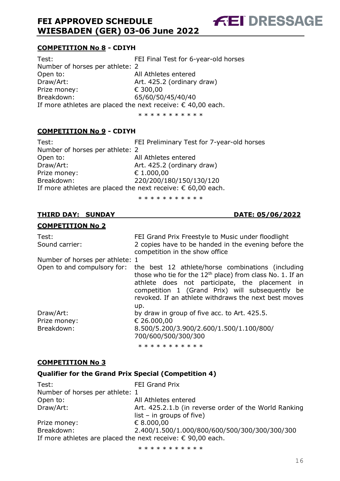#### **COMPETITION No 8 - CDIYH**

Test: FEI Final Test for 6-year-old horses Number of horses per athlete: 2 Open to: All Athletes entered Draw/Art: **Art. 425.2 (ordinary draw)** Prize money: € 300,00 Breakdown: 65/60/50/45/40/40 If more athletes are placed the next receive:  $\epsilon$  40,00 each.

\* \* \* \* \* \* \* \* \* \*

**FEI DRESSAGE** 

#### **COMPETITION No 9 - CDIYH**

Test: FEI Preliminary Test for 7-year-old horses Number of horses per athlete: 2 Open to: All Athletes entered Draw/Art: **Art. 425.2 (ordinary draw)** Prize money: € 1.000,00 Breakdown: 220/200/180/150/130/120 If more athletes are placed the next receive:  $\epsilon$  60,00 each.

\* \* \* \* \* \* \* \* \* \*

#### **THIRD DAY: SUNDAY DATE: 05/06/2022**

#### **COMPETITION No 2**

| Test:<br>Sound carrier:         | FEI Grand Prix Freestyle to Music under floodlight<br>2 copies have to be handed in the evening before the<br>competition in the show office                                                                                                                                         |
|---------------------------------|--------------------------------------------------------------------------------------------------------------------------------------------------------------------------------------------------------------------------------------------------------------------------------------|
| Number of horses per athlete: 1 |                                                                                                                                                                                                                                                                                      |
| Open to and compulsory for:     | the best 12 athlete/horse combinations (including<br>those who tie for the $12th$ place) from class No. 1. If an<br>athlete does not participate, the placement in<br>competition 1 (Grand Prix) will subsequently be<br>revoked. If an athlete withdraws the next best moves<br>up. |
| Draw/Art:                       | by draw in group of five acc. to Art. 425.5.                                                                                                                                                                                                                                         |
| Prize money:<br>Breakdown:      | € 26.000,00<br>8.500/5.200/3.900/2.600/1.500/1.100/800/<br>700/600/500/300/300                                                                                                                                                                                                       |

\* \* \* \* \* \* \* \* \* \*

#### **COMPETITION No 3**

# **Qualifier for the Grand Prix Special (Competition 4)**

| Test:                                                                | FEI Grand Prix                                        |
|----------------------------------------------------------------------|-------------------------------------------------------|
| Number of horses per athlete: 1                                      |                                                       |
| Open to:                                                             | All Athletes entered                                  |
| Draw/Art:                                                            | Art. 425.2.1.b (in reverse order of the World Ranking |
|                                                                      | $list - in groups of five)$                           |
| Prize money:                                                         | € 8.000,00                                            |
| Breakdown:                                                           | 2.400/1.500/1.000/800/600/500/300/300/300/300         |
| If more athletes are placed the next receive: $\epsilon$ 90,00 each. |                                                       |
|                                                                      |                                                       |

\* \* \* \* \* \* \* \* \* \*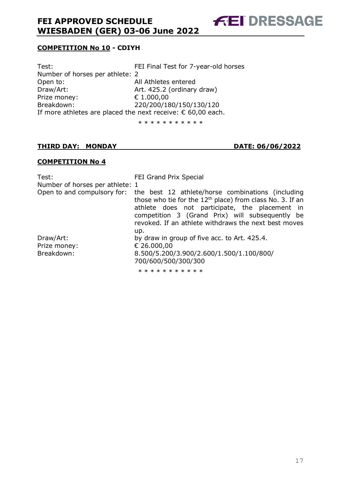**FEI DRESSAGE** 

# **COMPETITION No 10 - CDIYH**

| FEI Final Test for 7-year-old horses                                 |
|----------------------------------------------------------------------|
| Number of horses per athlete: 2                                      |
| All Athletes entered                                                 |
| Art. 425.2 (ordinary draw)                                           |
| € 1.000,00                                                           |
| 220/200/180/150/130/120                                              |
| If more athletes are placed the next receive: $\epsilon$ 60,00 each. |
|                                                                      |

\* \* \* \* \* \* \* \* \* \*

#### **THIRD DAY: MONDAY DATE: 06/06/2022**

#### **COMPETITION No 4**

| Test:                           | FEI Grand Prix Special                                                                                                                                                                                                                                                                                    |
|---------------------------------|-----------------------------------------------------------------------------------------------------------------------------------------------------------------------------------------------------------------------------------------------------------------------------------------------------------|
| Number of horses per athlete: 1 |                                                                                                                                                                                                                                                                                                           |
|                                 | Open to and compulsory for: the best 12 athlete/horse combinations (including<br>those who tie for the $12th$ place) from class No. 3. If an<br>athlete does not participate, the placement in<br>competition 3 (Grand Prix) will subsequently be<br>revoked. If an athlete withdraws the next best moves |
| Draw/Art:                       | up.<br>by draw in group of five acc. to Art. 425.4.                                                                                                                                                                                                                                                       |
| Prize money:                    | € 26.000,00                                                                                                                                                                                                                                                                                               |
| Breakdown:                      | 8.500/5.200/3.900/2.600/1.500/1.100/800/<br>700/600/500/300/300                                                                                                                                                                                                                                           |
|                                 | * * * * * * * * * * *                                                                                                                                                                                                                                                                                     |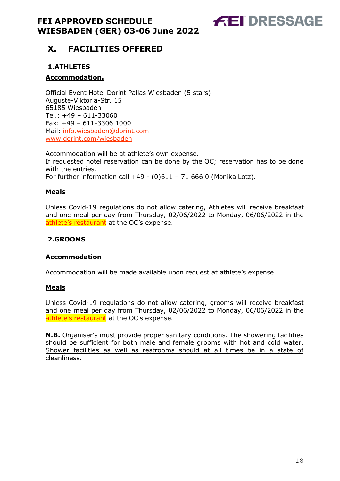**FEI DRESSAGE** 

# <span id="page-18-0"></span>**X. FACILITIES OFFERED**

# <span id="page-18-1"></span>**1.ATHLETES**

## **Accommodation.**

Official Event Hotel Dorint Pallas Wiesbaden (5 stars) Auguste-Viktoria-Str. 15 65185 Wiesbaden Tel.: +49 – 611-33060 Fax: +49 – 611-3306 1000 Mail: info.wiesbaden@dorint.com www.dorint.com/wiesbaden

Accommodation will be at athlete's own expense. If requested hotel reservation can be done by the OC; reservation has to be done with the entries. For further information call  $+49$  - (0)611 - 71 666 0 (Monika Lotz).

#### **Meals**

Unless Covid-19 regulations do not allow catering, Athletes will receive breakfast and one meal per day from Thursday, 02/06/2022 to Monday, 06/06/2022 in the athlete's restaurant at the OC's expense.

## <span id="page-18-2"></span>**2.GROOMS**

#### **Accommodation**

Accommodation will be made available upon request at athlete's expense.

#### **Meals**

Unless Covid-19 regulations do not allow catering, grooms will receive breakfast and one meal per day from Thursday, 02/06/2022 to Monday, 06/06/2022 in the athlete's restaurant at the OC's expense.

**N.B.** Organiser's must provide proper sanitary conditions. The showering facilities should be sufficient for both male and female grooms with hot and cold water. Shower facilities as well as restrooms should at all times be in a state of cleanliness.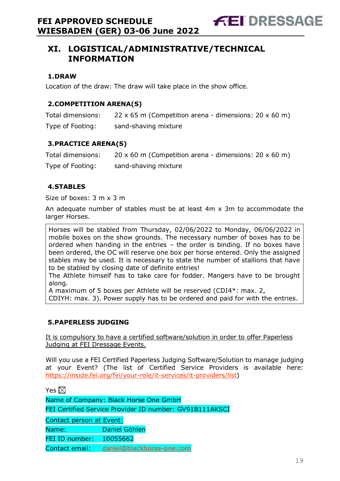# <span id="page-19-0"></span>**XI. LOGISTICAL/ADMINISTRATIVE/TECHNICAL INFORMATION**

## <span id="page-19-1"></span>**1.DRAW**

Location of the draw: The draw will take place in the show office.

# <span id="page-19-2"></span>**2.COMPETITION ARENA(S)**

| Total dimensions: | 22 x 65 m (Competition arena - dimensions: $20 \times 60$ m) |
|-------------------|--------------------------------------------------------------|
| Type of Footing:  | sand-shaving mixture                                         |

## <span id="page-19-3"></span>**3.PRACTICE ARENA(S)**

| Total dimensions: | $20 \times 60$ m (Competition arena - dimensions: 20 x 60 m) |
|-------------------|--------------------------------------------------------------|
| Type of Footing:  | sand-shaving mixture                                         |

## <span id="page-19-4"></span>**4.STABLES**

Size of boxes: 3 m x 3 m

An adequate number of stables must be at least 4m x 3m to accommodate the larger Horses.

Horses will be stabled from Thursday, 02/06/2022 to Monday, 06/06/2022 in mobile boxes on the show grounds. The necessary number of boxes has to be ordered when handing in the entries – the order is binding. If no boxes have been ordered, the OC will reserve one box per horse entered. Only the assigned stables may be used. It is necessary to state the number of stallions that have to be stabled by closing date of definite entries!

The Athlete himself has to take care for fodder. Mangers have to be brought along.

A maximum of 5 boxes per Athlete will be reserved (CDI4\*: max. 2,

CDIYH: max. 3). Power supply has to be ordered and paid for with the entries.

# <span id="page-19-5"></span>**5.PAPERLESS JUDGING**

It is compulsory to have a certified software/solution in order to offer Paperless Judging at FEI Dressage Events.

Will you use a FEI Certified Paperless Judging Software/Solution to manage judging at your Event? (The list of Certified Service Providers is available here: [https://inside.fei.org/fei/your-role/it-services/it-providers/list\)](https://inside.fei.org/fei/your-role/it-services/it-providers/list)

Yes  $\boxtimes$ 

Name of Company: Black Horse One GmbH

FEI Certified Service Provider ID number: GV91B111AKSCI

Contact person at Event: Name: Daniel Göhlen FEI ID number: 10055662

Contact email: daniel@blackhorse-one.com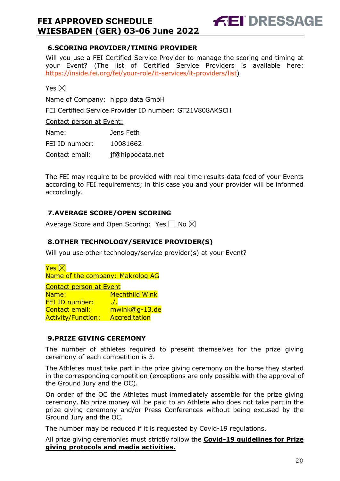# <span id="page-20-0"></span>**6.SCORING PROVIDER/TIMING PROVIDER**

Will you use a FEI Certified Service Provider to manage the scoring and timing at your Event? (The list of Certified Service Providers is available here: [https://inside.fei.org/fei/your-role/it-services/it-providers/list\)](https://inside.fei.org/fei/your-role/it-services/it-providers/list)

**FEI DRESSAGE** 

Yes  $\boxtimes$ 

Name of Company: hippo data GmbH

FEI Certified Service Provider ID number: GT21V808AKSCH

#### Contact person at Event:

| Name:          | Jens Feth        |
|----------------|------------------|
| FEI ID number: | 10081662         |
| Contact email: | jf@hippodata.net |

The FEI may require to be provided with real time results data feed of your Events according to FEI requirements; in this case you and your provider will be informed accordingly.

# <span id="page-20-1"></span>**7.AVERAGE SCORE/OPEN SCORING**

Average Score and Open Scoring: Yes  $\Box$  No  $\boxtimes$ 

# <span id="page-20-2"></span>**8.OTHER TECHNOLOGY/SERVICE PROVIDER(S)**

Will you use other technology/service provider(s) at your Event?

 $Y$ es  $\boxtimes$ Name of the company: Makrolog AG Contact person at Event Name: Mechthild Wink FEI ID number: ....... Contact email: mwink@g-13.de Activity/Function: Accreditation

# <span id="page-20-3"></span>**9.PRIZE GIVING CEREMONY**

The number of athletes required to present themselves for the prize giving ceremony of each competition is 3.

The Athletes must take part in the prize giving ceremony on the horse they started in the corresponding competition (exceptions are only possible with the approval of the Ground Jury and the OC).

On order of the OC the Athletes must immediately assemble for the prize giving ceremony. No prize money will be paid to an Athlete who does not take part in the prize giving ceremony and/or Press Conferences without being excused by the Ground Jury and the OC.

The number may be reduced if it is requested by Covid-19 regulations.

All prize giving ceremonies must strictly follow the **Covid-19 guidelines for Prize giving protocols and media activities.**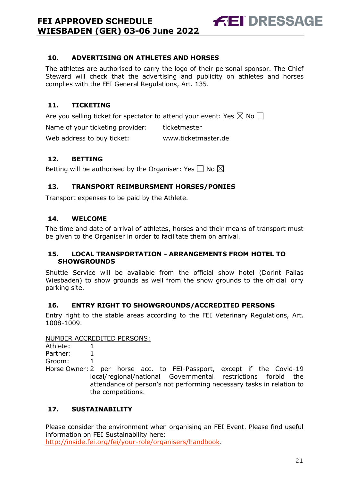# <span id="page-21-0"></span>**10. ADVERTISING ON ATHLETES AND HORSES**

The athletes are authorised to carry the logo of their personal sponsor. The Chief Steward will check that the advertising and publicity on athletes and horses complies with the FEI General Regulations, Art. 135.

**FEI DRESSAGE** 

# <span id="page-21-1"></span>**11. TICKETING**

Are you selling ticket for spectator to attend your event: Yes  $\boxtimes$  No  $\Box$ 

Name of your ticketing provider: ticketmaster

Web address to buy ticket: www.ticketmaster.de

# <span id="page-21-2"></span>**12. BETTING**

Betting will be authorised by the Organiser: Yes  $\Box$  No  $\boxtimes$ 

# <span id="page-21-3"></span>**13. TRANSPORT REIMBURSMENT HORSES/PONIES**

Transport expenses to be paid by the Athlete.

# <span id="page-21-4"></span>**14. WELCOME**

The time and date of arrival of athletes, horses and their means of transport must be given to the Organiser in order to facilitate them on arrival.

#### <span id="page-21-5"></span>**15. LOCAL TRANSPORTATION - ARRANGEMENTS FROM HOTEL TO SHOWGROUNDS**

Shuttle Service will be available from the official show hotel (Dorint Pallas Wiesbaden) to show grounds as well from the show grounds to the official lorry parking site.

# <span id="page-21-6"></span>**16. ENTRY RIGHT TO SHOWGROUNDS/ACCREDITED PERSONS**

Entry right to the stable areas according to the FEI Veterinary Regulations, Art. 1008-1009.

#### NUMBER ACCREDITED PERSONS:

| Athlete: |  |  |                                                                       |  |  |
|----------|--|--|-----------------------------------------------------------------------|--|--|
| Partner: |  |  |                                                                       |  |  |
| Groom:   |  |  |                                                                       |  |  |
|          |  |  | Horse Owner: 2 per horse acc. to FEI-Passport, except if the Covid-19 |  |  |
|          |  |  | local/regional/national Governmental restrictions forbid the          |  |  |
|          |  |  | attendance of person's not performing necessary tasks in relation to  |  |  |

the competitions.

# <span id="page-21-7"></span>**17. SUSTAINABILITY**

Please consider the environment when organising an FEI Event. Please find useful information on FEI Sustainability here: [http://inside.fei.org/fei/your-role/organisers/handbook.](http://inside.fei.org/fei/your-role/organisers/handbook)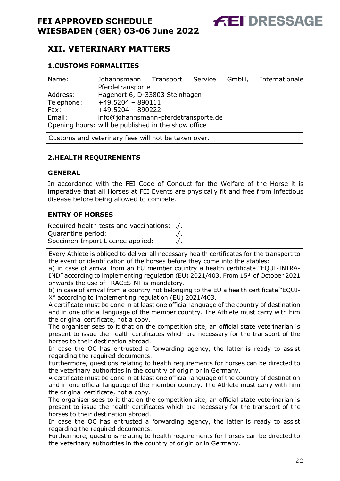# <span id="page-22-0"></span>**XII. VETERINARY MATTERS**

# <span id="page-22-1"></span>**1.CUSTOMS FORMALITIES**

| Name:      | Johannsmann Transport Service GmbH, Internationale  |  |  |
|------------|-----------------------------------------------------|--|--|
|            | Pferdetransporte                                    |  |  |
| Address:   | Hagenort 6, D-33803 Steinhagen                      |  |  |
| Telephone: | $+49.5204 - 890111$                                 |  |  |
| Fax:       | $+49.5204 - 890222$                                 |  |  |
| Email:     | info@johannsmann-pferdetransporte.de                |  |  |
|            | Opening hours: will be published in the show office |  |  |

Customs and veterinary fees will not be taken over.

# <span id="page-22-2"></span>**2.HEALTH REQUIREMENTS**

#### **GENERAL**

In accordance with the FEI Code of Conduct for the Welfare of the Horse it is imperative that all Horses at FEI Events are physically fit and free from infectious disease before being allowed to compete.

## **ENTRY OF HORSES**

Required health tests and vaccinations: ./. Quarantine period: ./. Specimen Import Licence applied: ./.

Every Athlete is obliged to deliver all necessary health certificates for the transport to the event or identification of the horses before they come into the stables:

a) in case of arrival from an EU member country a health certificate "EQUI-INTRA-IND" according to implementing regulation (EU) 2021/403. From 15th of October 2021 onwards the use of TRACES-NT is mandatory.

b) in case of arrival from a country not belonging to the EU a health certificate "EQUI-X" according to implementing regulation (EU) 2021/403.

A certificate must be done in at least one official language of the country of destination and in one official language of the member country. The Athlete must carry with him the original certificate, not a copy.

The organiser sees to it that on the competition site, an official state veterinarian is present to issue the health certificates which are necessary for the transport of the horses to their destination abroad.

In case the OC has entrusted a forwarding agency, the latter is ready to assist regarding the required documents.

Furthermore, questions relating to health requirements for horses can be directed to the veterinary authorities in the country of origin or in Germany.

A certificate must be done in at least one official language of the country of destination and in one official language of the member country. The Athlete must carry with him the original certificate, not a copy.

The organiser sees to it that on the competition site, an official state veterinarian is present to issue the health certificates which are necessary for the transport of the horses to their destination abroad.

In case the OC has entrusted a forwarding agency, the latter is ready to assist regarding the required documents.

Furthermore, questions relating to health requirements for horses can be directed to the veterinary authorities in the country of origin or in Germany.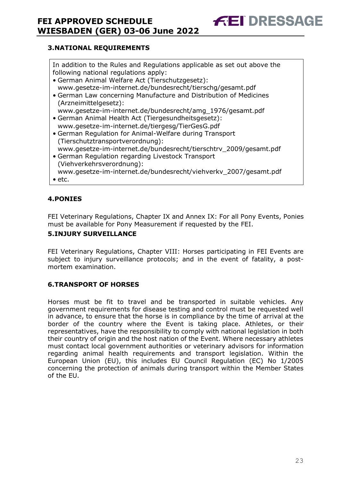# <span id="page-23-0"></span>**3.NATIONAL REQUIREMENTS**

In addition to the Rules and Regulations applicable as set out above the following national regulations apply:

**FEI DRESSAGE** 

- German Animal Welfare Act (Tierschutzgesetz): www.gesetze-im-internet.de/bundesrecht/tierschg/gesamt.pdf
- German Law concerning Manufacture and Distribution of Medicines (Arzneimittelgesetz): www.gesetze-im-internet.de/bundesrecht/amg\_1976/gesamt.pdf
- German Animal Health Act (Tiergesundheitsgesetz): www.gesetze-im-internet.de/tiergesg/TierGesG.pdf
- German Regulation for Animal-Welfare during Transport (Tierschutztransportverordnung):
- www.gesetze-im-internet.de/bundesrecht/tierschtrv\_2009/gesamt.pdf
- German Regulation regarding Livestock Transport (Viehverkehrsverordnung): www.gesetze-im-internet.de/bundesrecht/viehverkv\_2007/gesamt.pdf
- etc.

# <span id="page-23-1"></span>**4.PONIES**

FEI Veterinary Regulations, Chapter IX and Annex IX: For all Pony Events, Ponies must be available for Pony Measurement if requested by the FEI.

## <span id="page-23-2"></span>**5.INJURY SURVEILLANCE**

FEI Veterinary Regulations, Chapter VIII: Horses participating in FEI Events are subject to injury surveillance protocols; and in the event of fatality, a postmortem examination.

# <span id="page-23-3"></span>**6.TRANSPORT OF HORSES**

Horses must be fit to travel and be transported in suitable vehicles. Any government requirements for disease testing and control must be requested well in advance, to ensure that the horse is in compliance by the time of arrival at the border of the country where the Event is taking place. Athletes, or their representatives, have the responsibility to comply with national legislation in both their country of origin and the host nation of the Event. Where necessary athletes must contact local government authorities or veterinary advisors for information regarding animal health requirements and transport legislation. Within the European Union (EU), this includes EU Council Regulation (EC) No 1/2005 concerning the protection of animals during transport within the Member States of the EU.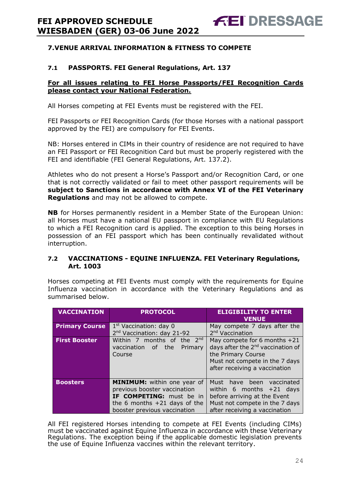## <span id="page-24-0"></span>**7.VENUE ARRIVAL INFORMATION & FITNESS TO COMPETE**

#### **7.1 PASSPORTS. FEI General Regulations, Art. 137**

#### **For all issues relating to FEI Horse Passports/FEI Recognition Cards please contact your National Federation.**

All Horses competing at FEI Events must be registered with the FEI.

FEI Passports or FEI Recognition Cards (for those Horses with a national passport approved by the FEI) are compulsory for FEI Events.

NB: Horses entered in CIMs in their country of residence are not required to have an FEI Passport or FEI Recognition Card but must be properly registered with the FEI and identifiable (FEI General Regulations, Art. 137.2).

Athletes who do not present a Horse's Passport and/or Recognition Card, or one that is not correctly validated or fail to meet other passport requirements will be **subject to Sanctions in accordance with Annex VI of the FEI Veterinary Regulations** and may not be allowed to compete.

**NB** for Horses permanently resident in a Member State of the European Union: all Horses must have a national EU passport in compliance with EU Regulations to which a FEI Recognition card is applied. The exception to this being Horses in possession of an FEI passport which has been continually revalidated without interruption.

#### **7.2 VACCINATIONS - EQUINE INFLUENZA. FEI Veterinary Regulations, Art. 1003**

Horses competing at FEI Events must comply with the requirements for Equine Influenza vaccination in accordance with the Veterinary Regulations and as summarised below.

| <b>VACCINATION</b>    | <b>PROTOCOL</b>                                                                                                                                                  | <b>ELIGIBILITY TO ENTER</b><br><b>VENUE</b>                                                                                                                              |
|-----------------------|------------------------------------------------------------------------------------------------------------------------------------------------------------------|--------------------------------------------------------------------------------------------------------------------------------------------------------------------------|
| <b>Primary Course</b> | $1st$ Vaccination: day 0<br>2 <sup>nd</sup> Vaccination: day 21-92                                                                                               | May compete 7 days after the<br>2 <sup>nd</sup> Vaccination                                                                                                              |
| <b>First Booster</b>  | Within 7 months of the $2^{nd}$<br>of the<br>vaccination<br>Primary<br>Course                                                                                    | May compete for 6 months $+21$<br>days after the 2 <sup>nd</sup> vaccination of<br>the Primary Course<br>Must not compete in the 7 days<br>after receiving a vaccination |
| <b>Boosters</b>       | <b>MINIMUM:</b> within one year of<br>previous booster vaccination<br>IF COMPETING: must be in<br>the 6 months $+21$ days of the<br>booster previous vaccination | Must<br>have been<br>vaccinated<br>within 6 months $+21$ days<br>before arriving at the Event<br>Must not compete in the 7 days<br>after receiving a vaccination         |

All FEI registered Horses intending to compete at FEI Events (including CIMs) must be vaccinated against Equine Influenza in accordance with these Veterinary Regulations. The exception being if the applicable domestic legislation prevents the use of Equine Influenza vaccines within the relevant territory.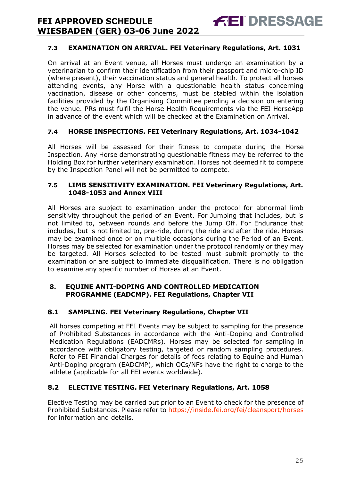# **7.3 EXAMINATION ON ARRIVAL. FEI Veterinary Regulations, Art. 1031**

**FEI DRESSAGE** 

On arrival at an Event venue, all Horses must undergo an examination by a veterinarian to confirm their identification from their passport and micro-chip ID (where present), their vaccination status and general health. To protect all horses attending events, any Horse with a questionable health status concerning vaccination, disease or other concerns, must be stabled within the isolation facilities provided by the Organising Committee pending a decision on entering the venue. PRs must fulfil the Horse Health Requirements via the FEI HorseApp in advance of the event which will be checked at the Examination on Arrival.

# **7.4 HORSE INSPECTIONS. FEI Veterinary Regulations, Art. 1034-1042**

All Horses will be assessed for their fitness to compete during the Horse Inspection. Any Horse demonstrating questionable fitness may be referred to the Holding Box for further veterinary examination. Horses not deemed fit to compete by the Inspection Panel will not be permitted to compete.

#### **7.5 LIMB SENSITIVITY EXAMINATION. FEI Veterinary Regulations, Art. 1048-1053 and Annex VIII**

All Horses are subject to examination under the protocol for abnormal limb sensitivity throughout the period of an Event. For Jumping that includes, but is not limited to, between rounds and before the Jump Off. For Endurance that includes, but is not limited to, pre-ride, during the ride and after the ride. Horses may be examined once or on multiple occasions during the Period of an Event. Horses may be selected for examination under the protocol randomly or they may be targeted. All Horses selected to be tested must submit promptly to the examination or are subject to immediate disqualification. There is no obligation to examine any specific number of Horses at an Event.

## <span id="page-25-0"></span>**8. EQUINE ANTI-DOPING AND CONTROLLED MEDICATION PROGRAMME (EADCMP). FEI Regulations, Chapter VII**

# **8.1 SAMPLING. FEI Veterinary Regulations, Chapter VII**

All horses competing at FEI Events may be subject to sampling for the presence of Prohibited Substances in accordance with the Anti-Doping and Controlled Medication Regulations (EADCMRs). Horses may be selected for sampling in accordance with obligatory testing, targeted or random sampling procedures. Refer to FEI Financial Charges for details of fees relating to Equine and Human Anti-Doping program (EADCMP), which OCs/NFs have the right to charge to the athlete (applicable for all FEI events worldwide).

# **8.2 ELECTIVE TESTING. FEI Veterinary Regulations, Art. 1058**

Elective Testing may be carried out prior to an Event to check for the presence of Prohibited Substances. Please refer to https://inside.fei.org/fei/cleansport/horses for information and details.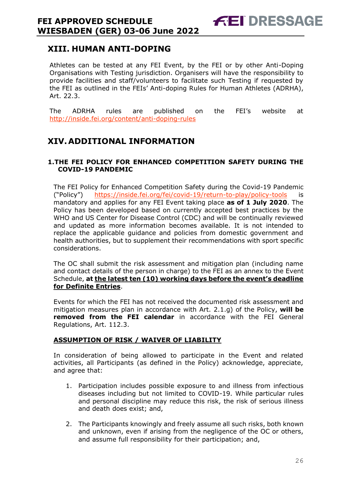# <span id="page-26-0"></span>**XIII. HUMAN ANTI-DOPING**

Athletes can be tested at any FEI Event, by the FEI or by other Anti-Doping Organisations with Testing jurisdiction. Organisers will have the responsibility to provide facilities and staff/volunteers to facilitate such Testing if requested by the FEI as outlined in the FEIs' Anti-doping Rules for Human Athletes (ADRHA), Art. 22.3.

The ADRHA rules are published on the FEI's website at <http://inside.fei.org/content/anti-doping-rules>

# <span id="page-26-1"></span>**XIV.ADDITIONAL INFORMATION**

#### <span id="page-26-2"></span>**1.THE FEI POLICY FOR ENHANCED COMPETITION SAFETY DURING THE COVID-19 PANDEMIC**

The FEI Policy for Enhanced Competition Safety during the Covid-19 Pandemic ("Policy") <https://inside.fei.org/fei/covid-19/return-to-play/policy-tools> is mandatory and applies for any FEI Event taking place **as of 1 July 2020**. The Policy has been developed based on currently accepted best practices by the WHO and US Center for Disease Control (CDC) and will be continually reviewed and updated as more information becomes available. It is not intended to replace the applicable guidance and policies from domestic government and health authorities, but to supplement their recommendations with sport specific considerations.

The OC shall submit the risk assessment and mitigation plan (including name and contact details of the person in charge) to the FEI as an annex to the Event Schedule, **at the latest ten (10) working days before the event's deadline for Definite Entries**.

Events for which the FEI has not received the documented risk assessment and mitigation measures plan in accordance with Art. 2.1.g) of the Policy, **will be removed from the FEI calendar** in accordance with the FEI General Regulations, Art. 112.3.

#### **ASSUMPTION OF RISK / WAIVER OF LIABILITY**

In consideration of being allowed to participate in the Event and related activities, all Participants (as defined in the Policy) acknowledge, appreciate, and agree that:

- 1. Participation includes possible exposure to and illness from infectious diseases including but not limited to COVID-19. While particular rules and personal discipline may reduce this risk, the risk of serious illness and death does exist; and,
- 2. The Participants knowingly and freely assume all such risks, both known and unknown, even if arising from the negligence of the OC or others, and assume full responsibility for their participation; and,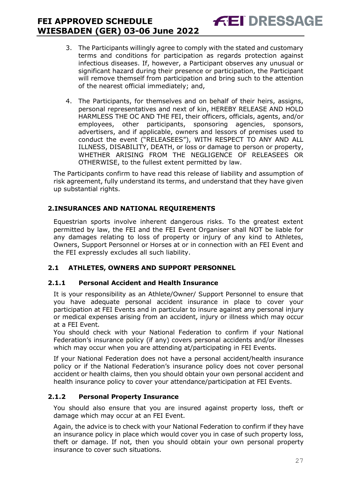3. The Participants willingly agree to comply with the stated and customary terms and conditions for participation as regards protection against infectious diseases. If, however, a Participant observes any unusual or significant hazard during their presence or participation, the Participant will remove themself from participation and bring such to the attention of the nearest official immediately; and,

**FEI DRESSAGE** 

4. The Participants, for themselves and on behalf of their heirs, assigns, personal representatives and next of kin, HEREBY RELEASE AND HOLD HARMLESS THE OC AND THE FEI, their officers, officials, agents, and/or employees, other participants, sponsoring agencies, sponsors, advertisers, and if applicable, owners and lessors of premises used to conduct the event ("RELEASEES"), WITH RESPECT TO ANY AND ALL ILLNESS, DISABILITY, DEATH, or loss or damage to person or property, WHETHER ARISING FROM THE NEGLIGENCE OF RELEASEES OR OTHERWISE, to the fullest extent permitted by law.

The Participants confirm to have read this release of liability and assumption of risk agreement, fully understand its terms, and understand that they have given up substantial rights.

# <span id="page-27-0"></span>**2.INSURANCES AND NATIONAL REQUIREMENTS**

Equestrian sports involve inherent dangerous risks. To the greatest extent permitted by law, the FEI and the FEI Event Organiser shall NOT be liable for any damages relating to loss of property or injury of any kind to Athletes, Owners, Support Personnel or Horses at or in connection with an FEI Event and the FEI expressly excludes all such liability.

# **2.1 ATHLETES, OWNERS AND SUPPORT PERSONNEL**

# **2.1.1 Personal Accident and Health Insurance**

It is your responsibility as an Athlete/Owner/ Support Personnel to ensure that you have adequate personal accident insurance in place to cover your participation at FEI Events and in particular to insure against any personal injury or medical expenses arising from an accident, injury or illness which may occur at a FEI Event.

You should check with your National Federation to confirm if your National Federation's insurance policy (if any) covers personal accidents and/or illnesses which may occur when you are attending at/participating in FEI Events.

If your National Federation does not have a personal accident/health insurance policy or if the National Federation's insurance policy does not cover personal accident or health claims, then you should obtain your own personal accident and health insurance policy to cover your attendance/participation at FEI Events.

# **2.1.2 Personal Property Insurance**

You should also ensure that you are insured against property loss, theft or damage which may occur at an FEI Event.

Again, the advice is to check with your National Federation to confirm if they have an insurance policy in place which would cover you in case of such property loss, theft or damage. If not, then you should obtain your own personal property insurance to cover such situations.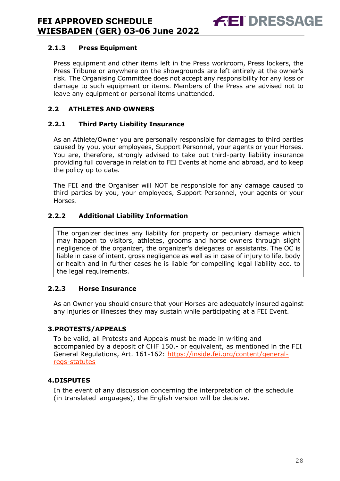#### **2.1.3 Press Equipment**

Press equipment and other items left in the Press workroom, Press lockers, the Press Tribune or anywhere on the showgrounds are left entirely at the owner's risk. The Organising Committee does not accept any responsibility for any loss or damage to such equipment or items. Members of the Press are advised not to leave any equipment or personal items unattended.

# **2.2 ATHLETES AND OWNERS**

#### **2.2.1 Third Party Liability Insurance**

As an Athlete/Owner you are personally responsible for damages to third parties caused by you, your employees, Support Personnel, your agents or your Horses. You are, therefore, strongly advised to take out third-party liability insurance providing full coverage in relation to FEI Events at home and abroad, and to keep the policy up to date.

The FEI and the Organiser will NOT be responsible for any damage caused to third parties by you, your employees, Support Personnel, your agents or your Horses.

#### **2.2.2 Additional Liability Information**

The organizer declines any liability for property or pecuniary damage which may happen to visitors, athletes, grooms and horse owners through slight negligence of the organizer, the organizer's delegates or assistants. The OC is liable in case of intent, gross negligence as well as in case of injury to life, body or health and in further cases he is liable for compelling legal liability acc. to the legal requirements.

#### **2.2.3 Horse Insurance**

As an Owner you should ensure that your Horses are adequately insured against any injuries or illnesses they may sustain while participating at a FEI Event.

#### <span id="page-28-0"></span>**3.PROTESTS/APPEALS**

To be valid, all Protests and Appeals must be made in writing and accompanied by a deposit of CHF 150.- or equivalent, as mentioned in the FEI General Regulations, Art. 161-162: [https://inside.fei.org/content/general](https://inside.fei.org/content/general-regs-statutes)[regs-statutes](https://inside.fei.org/content/general-regs-statutes)

#### <span id="page-28-1"></span>**4.DISPUTES**

In the event of any discussion concerning the interpretation of the schedule (in translated languages), the English version will be decisive.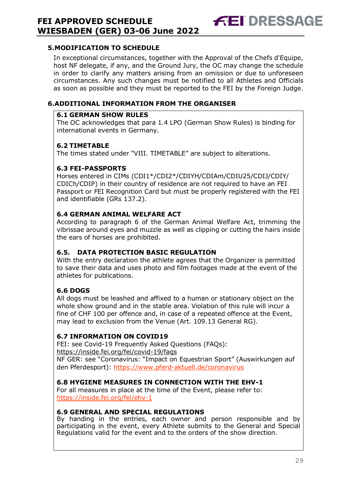## <span id="page-29-0"></span>**5.MODIFICATION TO SCHEDULE**

In exceptional circumstances, together with the Approval of the Chefs d'Equipe, host NF delegate, if any, and the Ground Jury, the OC may change the schedule in order to clarify any matters arising from an omission or due to unforeseen circumstances. Any such changes must be notified to all Athletes and Officials as soon as possible and they must be reported to the FEI by the Foreign Judge.

**FEI DRESSAGE** 

## <span id="page-29-1"></span>**6.ADDITIONAL INFORMATION FROM THE ORGANISER**

#### **6.1 GERMAN SHOW RULES**

The OC acknowledges that para 1.4 LPO (German Show Rules) is binding for international events in Germany.

## **6.2 TIMETABLE**

The times stated under "VIII. TIMETABLE" are subject to alterations.

## **6.3 FEI-PASSPORTS**

Horses entered in CIMs (CDI1\*/CDI2\*/CDIYH/CDIAm/CDIU25/CDIJ/CDIY/ CDICh/CDIP) in their country of residence are not required to have an FEI Passport or FEI Recognition Card but must be properly registered with the FEI and identifiable (GRs 137.2).

## **6.4 GERMAN ANIMAL WELFARE ACT**

According to paragraph 6 of the German Animal Welfare Act, trimming the vibrissae around eyes and muzzle as well as clipping or cutting the hairs inside the ears of horses are prohibited.

#### **6.5. DATA PROTECTION BASIC REGULATION**

With the entry declaration the athlete agrees that the Organizer is permitted to save their data and uses photo and film footages made at the event of the athletes for publications.

# **6.6 DOGS**

All dogs must be leashed and affixed to a human or stationary object on the whole show ground and in the stable area. Violation of this rule will incur a fine of CHF 100 per offence and, in case of a repeated offence at the Event, may lead to exclusion from the Venue (Art. 109.13 General RG).

# **6.7 INFORMATION ON COVID19**

FEI: see Covid-19 Frequently Asked Questions (FAQs): https://inside.fei.org/fei/covid-19/faqs

NF GER: see "Coronavirus: "Impact on Equestrian Sport" (Auswirkungen auf den Pferdesport):<https://www.pferd-aktuell.de/coronavirus>

## **6.8 HYGIENE MEASURES IN CONNECTION WITH THE EHV-1**

For all measures in place at the time of the Event, please refer to: <https://inside.fei.org/fei/ehv-1>

#### **6.9 GENERAL AND SPECIAL REGULATIONS**

By handing in the entries, each owner and person responsible and by participating in the event, every Athlete submits to the General and Special Regulations valid for the event and to the orders of the show direction.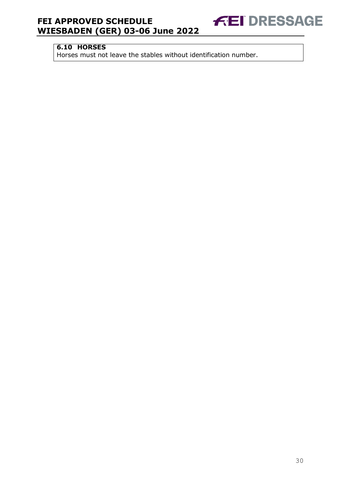# **6.10 HORSES**

Horses must not leave the stables without identification number.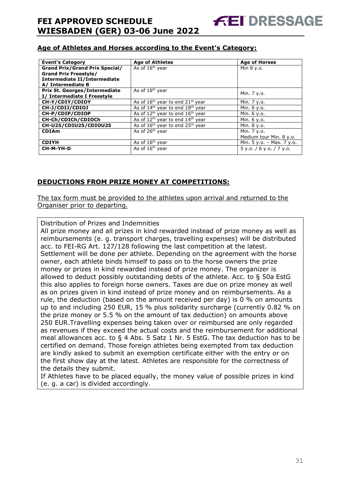# **Age of Athletes and Horses according to the Event's Category:**

| <b>Event's Category</b>               | <b>Age of Athletes</b>                     | <b>Age of Horses</b>        |
|---------------------------------------|--------------------------------------------|-----------------------------|
| <b>Grand Prix/Grand Prix Special/</b> | As of $16th$ year                          | Min 8 y.o.                  |
| <b>Grand Prix Freestyle/</b>          |                                            |                             |
| Intermediate II/Intermediate          |                                            |                             |
| A/ Intermediate B                     |                                            |                             |
| <b>Prix St. Georges/Intermediate</b>  | As of 16 <sup>th</sup> year                | Min. 7 y.o.                 |
| I/ Intermediate I Freestyle           |                                            |                             |
| CH-Y/CDIY/CDIOY                       | As of $16th$ year to end $21st$ year       | Min. 7 y.o.                 |
| CH-J/CDIJ/CDIOJ                       | As of $14th$ year to end $18th$ year       | Min. 6 y.o.                 |
| CH-P/CDIP/CDIOP                       | As of $12th$ year to end $16th$ year       | Min. 6 y.o.                 |
| CH-Ch/CDICh/CDIOCh                    | As of $12^{th}$ year to end $14^{th}$ year | Min. 6 y.o.                 |
| CH-U25/CDIU25/CDIOU25                 | As of $16th$ year to end $25th$ year       | Min. 8 y.o.                 |
| <b>CDIAm</b>                          | As of 26 <sup>th</sup> year                | Min. 7 y.o.                 |
|                                       |                                            | Medium tour Min. 8 y.o.     |
| <b>CDIYH</b>                          | As of $16th$ year                          | Min. $5 y.o. - Max. 7 y.o.$ |
| CH-M-YH-D                             | As of $16th$ year                          | 5y.o. / 6y.o. / 7y.o.       |
|                                       |                                            |                             |

## **DEDUCTIONS FROM PRIZE MONEY AT COMPETITIONS:**

The tax form must be provided to the athletes upon arrival and returned to the Organiser prior to departing.

Distribution of Prizes and Indemnities

All prize money and all prizes in kind rewarded instead of prize money as well as reimbursements (e. g. transport charges, travelling expenses) will be distributed acc. to FEI-RG Art. 127/128 following the last competition at the latest. Settlement will be done per athlete. Depending on the agreement with the horse owner, each athlete binds himself to pass on to the horse owners the prize money or prizes in kind rewarded instead of prize money. The organizer is allowed to deduct possibly outstanding debts of the athlete. Acc. to § 50a EstG this also applies to foreign horse owners. Taxes are due on prize money as well as on prizes given in kind instead of prize money and on reimbursements. As a rule, the deduction (based on the amount received per day) is 0 % on amounts up to and including 250 EUR, 15 % plus solidarity surcharge (currently 0.82 % on the prize money or 5.5 % on the amount of tax deduction) on amounts above 250 EUR.Travelling expenses being taken over or reimbursed are only regarded as revenues if they exceed the actual costs and the reimbursement for additional meal allowances acc. to § 4 Abs. 5 Satz 1 Nr. 5 EstG. The tax deduction has to be certified on demand. Those foreign athletes being exempted from tax deduction are kindly asked to submit an exemption certificate either with the entry or on the first show day at the latest. Athletes are responsible for the correctness of the details they submit.

If Athletes have to be placed equally, the money value of possible prizes in kind (e. g. a car) is divided accordingly.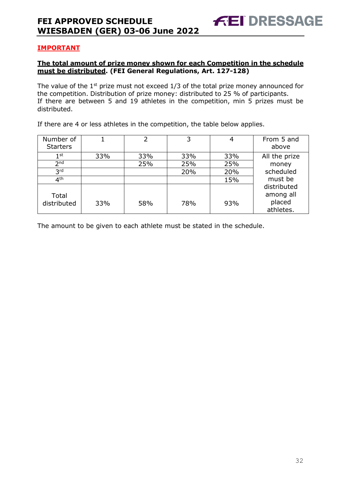# **IMPORTANT**

## **The total amount of prize money shown for each Competition in the schedule must be distributed. (FEI General Regulations, Art. 127-128)**

The value of the  $1<sup>st</sup>$  prize must not exceed  $1/3$  of the total prize money announced for the competition. Distribution of prize money: distributed to 25 % of participants. If there are between 5 and 19 athletes in the competition, min 5 prizes must be distributed.

If there are 4 or less athletes in the competition, the table below applies.

| Number of<br><b>Starters</b> |     | $\overline{2}$ | 3   |     | From 5 and<br>above                |
|------------------------------|-----|----------------|-----|-----|------------------------------------|
| 1 <sup>st</sup>              | 33% | 33%            | 33% | 33% | All the prize                      |
| 2 <sub>nd</sub>              |     | 25%            | 25% | 25% | money                              |
| 3 <sup>rd</sup>              |     |                | 20% | 20% | scheduled                          |
| 4 <sup>th</sup>              |     |                |     | 15% | must be                            |
| Total<br>distributed         | 33% | 58%            | 78% | 93% | distributed<br>among all<br>placed |
|                              |     |                |     |     | athletes.                          |

The amount to be given to each athlete must be stated in the schedule.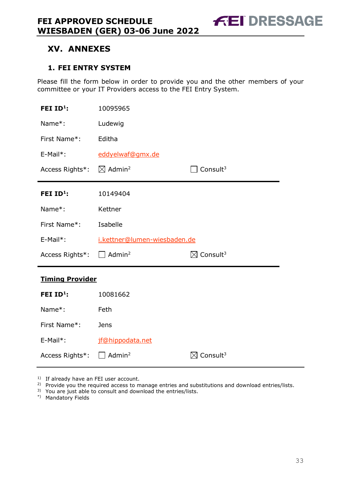# <span id="page-33-0"></span>**XV. ANNEXES**

# <span id="page-33-1"></span>**1. FEI ENTRY SYSTEM**

Please fill the form below in order to provide you and the other members of your committee or your IT Providers access to the FEI Entry System.

| FEI ID <sup>1</sup> :  | 10095965                       |                                  |  |  |  |
|------------------------|--------------------------------|----------------------------------|--|--|--|
| Name*:                 | Ludewig                        |                                  |  |  |  |
| First Name*:           | Editha                         |                                  |  |  |  |
| E-Mail*:               | eddyelwaf@gmx.de               |                                  |  |  |  |
| Access Rights*:        | $\boxtimes$ Admin <sup>2</sup> | Consult <sup>3</sup>             |  |  |  |
| FEI $ID^1$ :           | 10149404                       |                                  |  |  |  |
| Name*:                 | Kettner                        |                                  |  |  |  |
| First Name*:           | Isabelle                       |                                  |  |  |  |
|                        | i.kettner@lumen-wiesbaden.de   |                                  |  |  |  |
| $E-Mail*$ :            |                                |                                  |  |  |  |
| Access Rights*:        | $\Box$ Admin <sup>2</sup>      | $\boxtimes$ Consult <sup>3</sup> |  |  |  |
| <b>Timing Provider</b> |                                |                                  |  |  |  |
| FEI ID <sup>1</sup> :  | 10081662                       |                                  |  |  |  |
| Name*:                 | Feth                           |                                  |  |  |  |
| First Name*:           | Jens                           |                                  |  |  |  |
| E-Mail*:               | jf@hippodata.net               |                                  |  |  |  |

<sup>1)</sup> If already have an FEI user account.

|  |  |  |  |  | <sup>2)</sup> Provide you the required access to manage entries and substitutions and download entries/lists. |
|--|--|--|--|--|---------------------------------------------------------------------------------------------------------------|
|--|--|--|--|--|---------------------------------------------------------------------------------------------------------------|

<sup>3)</sup> You are just able to consult and download the entries/lists.

\*) Mandatory Fields